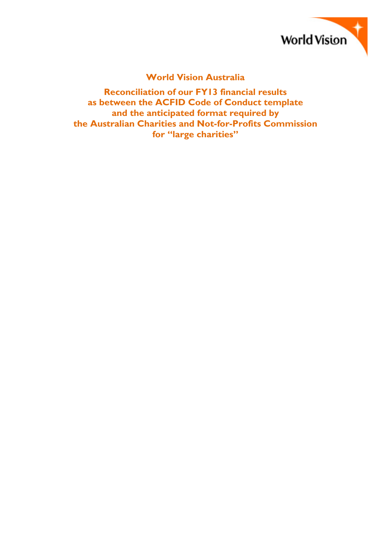

## **World Vision Australia**

**Reconciliation of our FY13 financial results as between the ACFID Code of Conduct template and the anticipated format required by the Australian Charities and Not-for-Profits Commission for "large charities"**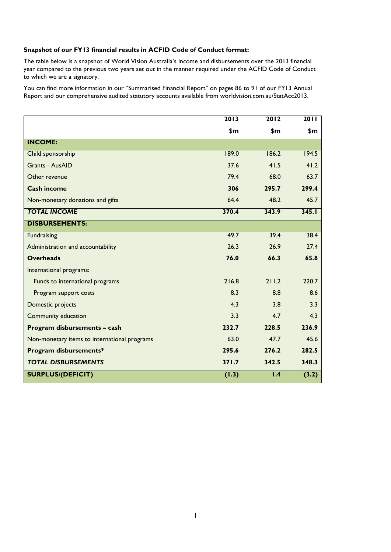## **Snapshot of our FY13 financial results in ACFID Code of Conduct format:**

The table below is a snapshot of World Vision Australia's income and disbursements over the 2013 financial year compared to the previous two years set out in the manner required under the ACFID Code of Conduct to which we are a signatory.

You can find more information in our "Summarised Financial Report" on pages 86 to 91 of our FY13 Annual Report and our comprehensive audited statutory accounts available from worldvision.com.au/StatAcc2013.

|                                              | 2013  | 2012  | 2011  |
|----------------------------------------------|-------|-------|-------|
|                                              | \$m   | \$m   | \$m   |
| <b>INCOME:</b>                               |       |       |       |
| Child sponsorship                            | 189.0 | 186.2 | 194.5 |
| <b>Grants - AusAID</b>                       | 37.6  | 41.5  | 41.2  |
| Other revenue                                | 79.4  | 68.0  | 63.7  |
| <b>Cash income</b>                           | 306   | 295.7 | 299.4 |
| Non-monetary donations and gifts             | 64.4  | 48.2  | 45.7  |
| <b>TOTAL INCOME</b>                          | 370.4 | 343.9 | 345.1 |
| <b>DISBURSEMENTS:</b>                        |       |       |       |
| <b>Fundraising</b>                           | 49.7  | 39.4  | 38.4  |
| Administration and accountability            | 26.3  | 26.9  | 27.4  |
| <b>Overheads</b>                             | 76.0  | 66.3  | 65.8  |
| International programs:                      |       |       |       |
| Funds to international programs              | 216.8 | 211.2 | 220.7 |
| Program support costs                        | 8.3   | 8.8   | 8.6   |
| Domestic projects                            | 4.3   | 3.8   | 3.3   |
| Community education                          | 3.3   | 4.7   | 4.3   |
| Program disbursements - cash                 | 232.7 | 228.5 | 236.9 |
| Non-monetary items to international programs | 63.0  | 47.7  | 45.6  |
| Program disbursements*                       | 295.6 | 276.2 | 282.5 |
| <b>TOTAL DISBURSEMENTS</b>                   | 371.7 | 342.5 | 348.3 |
| <b>SURPLUS/(DEFICIT)</b>                     | (1.3) | 1.4   | (3.2) |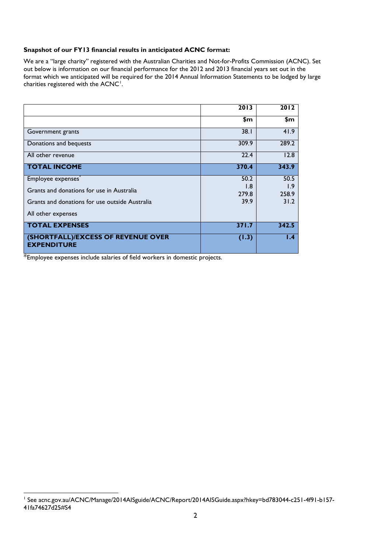## **Snapshot of our FY13 financial results in anticipated ACNC format:**

We are a "large charity" registered with the Australian Charities and Not-for-Profits Commission (ACNC). Set out below is information on our financial performance for the 2012 and 2013 financial years set out in the format which we anticipated will be required for the 2014 Annual Information Statements to be lodged by large charities registered with the  $ACNC<sup>1</sup>$  $ACNC<sup>1</sup>$  $ACNC<sup>1</sup>$ .

|                                                          | 2013  | 2012  |
|----------------------------------------------------------|-------|-------|
|                                                          | \$m   | \$m   |
| Government grants                                        | 38.1  | 41.9  |
| Donations and bequests                                   | 309.9 | 289.2 |
| All other revenue                                        | 22.4  | 12.8  |
| <b>TOTAL INCOME</b>                                      | 370.4 | 343.9 |
| Employee expenses                                        | 50.2  | 50.5  |
| Grants and donations for use in Australia                | 1.8   | I.9   |
|                                                          | 279.8 | 258.9 |
| Grants and donations for use outside Australia           | 39.9  | 31.2  |
| All other expenses                                       |       |       |
| <b>TOTAL EXPENSES</b>                                    | 371.7 | 342.5 |
| (SHORTFALL)/EXCESS OF REVENUE OVER<br><b>EXPENDITURE</b> | (1.3) | 1.4   |

\*Employee expenses include salaries of field workers in domestic projects.

<span id="page-2-0"></span> <sup>1</sup> See acnc.gov.au/ACNC/Manage/2014AISguide/ACNC/Report/2014AISGuide.aspx?hkey=bd783044-c251-4f91-b157- 41fa74627d25#S4